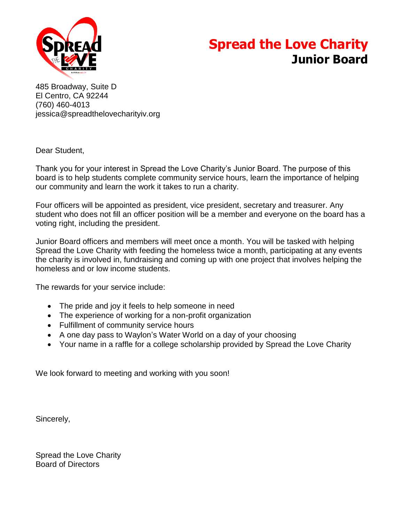

# **Spread the Love Charity Junior Board**

485 Broadway, Suite D El Centro, CA 92244 (760) 460-4013 jessica@spreadthelovecharityiv.org

Dear Student,

Thank you for your interest in Spread the Love Charity's Junior Board. The purpose of this board is to help students complete community service hours, learn the importance of helping our community and learn the work it takes to run a charity.

Four officers will be appointed as president, vice president, secretary and treasurer. Any student who does not fill an officer position will be a member and everyone on the board has a voting right, including the president.

Junior Board officers and members will meet once a month. You will be tasked with helping Spread the Love Charity with feeding the homeless twice a month, participating at any events the charity is involved in, fundraising and coming up with one project that involves helping the homeless and or low income students.

The rewards for your service include:

- The pride and joy it feels to help someone in need
- The experience of working for a non-profit organization
- Fulfillment of community service hours
- A one day pass to Waylon's Water World on a day of your choosing
- Your name in a raffle for a college scholarship provided by Spread the Love Charity

We look forward to meeting and working with you soon!

Sincerely,

Spread the Love Charity Board of Directors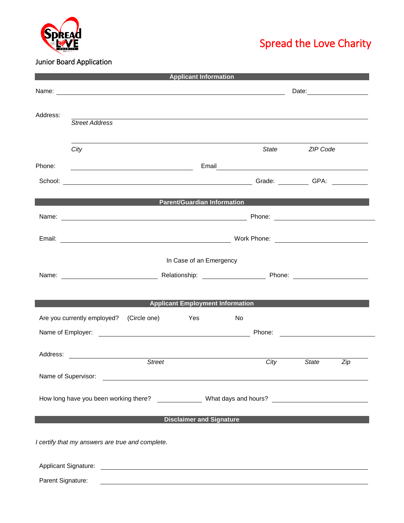

# Spread the Love Charity

## Junior Board Application

| <b>Applicant Information</b> |                                                                                                                                                                                                                               |                                                                                                                       |                                         |    |                                                                                                                                                                                                                                      |          |                                                     |  |
|------------------------------|-------------------------------------------------------------------------------------------------------------------------------------------------------------------------------------------------------------------------------|-----------------------------------------------------------------------------------------------------------------------|-----------------------------------------|----|--------------------------------------------------------------------------------------------------------------------------------------------------------------------------------------------------------------------------------------|----------|-----------------------------------------------------|--|
|                              | Date: <u>____________________</u>                                                                                                                                                                                             |                                                                                                                       |                                         |    |                                                                                                                                                                                                                                      |          |                                                     |  |
| Address:                     |                                                                                                                                                                                                                               | 的,我们也不会有什么。""我们的人,我们也不会有什么?""我们的人,我们也不会有什么?""我们的人,我们也不会有什么?""我们的人,我们也不会有什么?""我们的                                      |                                         |    |                                                                                                                                                                                                                                      |          |                                                     |  |
|                              | <b>Street Address</b>                                                                                                                                                                                                         |                                                                                                                       |                                         |    |                                                                                                                                                                                                                                      |          |                                                     |  |
|                              | City                                                                                                                                                                                                                          |                                                                                                                       |                                         |    | State                                                                                                                                                                                                                                | ZIP Code |                                                     |  |
| Phone:                       |                                                                                                                                                                                                                               |                                                                                                                       |                                         |    | Email <b>Exercise Contract Contract Contract Contract Contract Contract Contract Contract Contract Contract Contract Contract Contract Contract Contract Contract Contract Contract Contract Contract Contract Contract Contract</b> |          |                                                     |  |
|                              |                                                                                                                                                                                                                               |                                                                                                                       |                                         |    |                                                                                                                                                                                                                                      |          |                                                     |  |
|                              |                                                                                                                                                                                                                               | <b>Example 2018 The Parent/Guardian Information Contract Contract Contract Contract Contract Contract Contract Co</b> |                                         |    |                                                                                                                                                                                                                                      |          |                                                     |  |
|                              | Name: Name: Name: Name: Name: Name: Name: Name: Name: Name: Name: Name: Name: Name: Name: Name: Name: Name: Name: Name: Name: Name: Name: Name: Name: Name: Name: Name: Name: Name: Name: Name: Name: Name: Name: Name: Name: |                                                                                                                       |                                         |    |                                                                                                                                                                                                                                      |          |                                                     |  |
|                              |                                                                                                                                                                                                                               |                                                                                                                       |                                         |    |                                                                                                                                                                                                                                      |          |                                                     |  |
|                              |                                                                                                                                                                                                                               |                                                                                                                       | In Case of an Emergency                 |    |                                                                                                                                                                                                                                      |          |                                                     |  |
|                              |                                                                                                                                                                                                                               |                                                                                                                       |                                         |    |                                                                                                                                                                                                                                      |          |                                                     |  |
|                              |                                                                                                                                                                                                                               |                                                                                                                       |                                         |    |                                                                                                                                                                                                                                      |          |                                                     |  |
|                              |                                                                                                                                                                                                                               |                                                                                                                       | <b>Applicant Employment Information</b> |    |                                                                                                                                                                                                                                      |          |                                                     |  |
|                              | Are you currently employed?                                                                                                                                                                                                   | (Circle one) Yes                                                                                                      |                                         | No |                                                                                                                                                                                                                                      |          |                                                     |  |
|                              |                                                                                                                                                                                                                               |                                                                                                                       |                                         |    | Phone:                                                                                                                                                                                                                               |          | <u> 1980 - Andrea Station Barbara, amerikan per</u> |  |
| Address:                     | <u> 1989 - Jan Stein Stein Stein Stein Stein Stein Stein Stein Stein Stein Stein Stein Stein Stein Stein Stein S</u>                                                                                                          | <b>Street</b>                                                                                                         |                                         |    | City                                                                                                                                                                                                                                 | State    | Zip                                                 |  |
|                              |                                                                                                                                                                                                                               |                                                                                                                       |                                         |    |                                                                                                                                                                                                                                      |          |                                                     |  |
|                              |                                                                                                                                                                                                                               |                                                                                                                       |                                         |    |                                                                                                                                                                                                                                      |          |                                                     |  |
|                              |                                                                                                                                                                                                                               |                                                                                                                       | <b>Disclaimer and Signature</b>         |    |                                                                                                                                                                                                                                      |          |                                                     |  |
|                              | I certify that my answers are true and complete.                                                                                                                                                                              |                                                                                                                       |                                         |    |                                                                                                                                                                                                                                      |          |                                                     |  |
|                              |                                                                                                                                                                                                                               |                                                                                                                       |                                         |    |                                                                                                                                                                                                                                      |          |                                                     |  |
| Parent Signature:            |                                                                                                                                                                                                                               |                                                                                                                       |                                         |    |                                                                                                                                                                                                                                      |          |                                                     |  |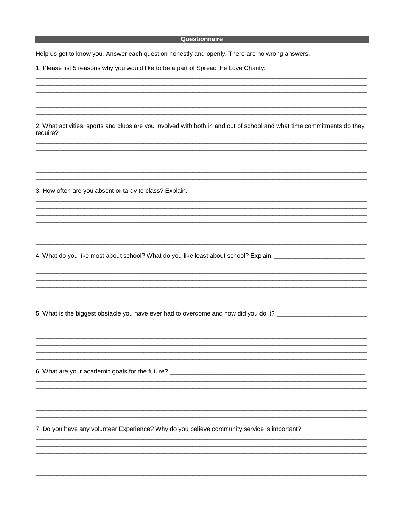### **Example 2018 Contract Contract Contract Contract Contract Contract Contract Contract Contract Contract Contract**

Help us get to know you. Answer each question honestly and openly. There are no wrong answers.

1. Please list 5 reasons why you would like to be a part of Spread the Love Charity: \_\_\_\_\_\_\_\_\_\_\_\_\_\_\_\_\_\_\_\_\_\_\_\_

2. What activities, sports and clubs are you involved with both in and out of school and what time commitments do they require? \_\_\_

4. What do you like most about school? What do you like least about school? Explain. \_\_\_\_\_\_\_\_\_\_\_\_\_\_\_

5. What is the biggest obstacle you have ever had to overcome and how did you do it?

6. What are your academic goals for the future?

7. Do you have any volunteer Experience? Why do you believe community service is important? \_\_\_\_\_\_\_\_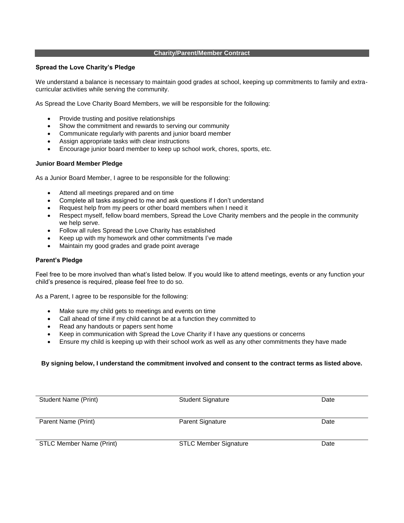#### **Charity/Parent/Member Contract**

#### **Spread the Love Charity's Pledge**

We understand a balance is necessary to maintain good grades at school, keeping up commitments to family and extracurricular activities while serving the community.

As Spread the Love Charity Board Members, we will be responsible for the following:

- Provide trusting and positive relationships
- Show the commitment and rewards to serving our community
- Communicate regularly with parents and junior board member
- Assign appropriate tasks with clear instructions
- Encourage junior board member to keep up school work, chores, sports, etc.

#### **Junior Board Member Pledge**

As a Junior Board Member, I agree to be responsible for the following:

- Attend all meetings prepared and on time
- Complete all tasks assigned to me and ask questions if I don't understand
- Request help from my peers or other board members when I need it
- Respect myself, fellow board members, Spread the Love Charity members and the people in the community we help serve.
- Follow all rules Spread the Love Charity has established
- Keep up with my homework and other commitments I've made
- Maintain my good grades and grade point average

#### **Parent's Pledge**

Feel free to be more involved than what's listed below. If you would like to attend meetings, events or any function your child's presence is required, please feel free to do so.

As a Parent, I agree to be responsible for the following:

- Make sure my child gets to meetings and events on time
- Call ahead of time if my child cannot be at a function they committed to
- Read any handouts or papers sent home
- Keep in communication with Spread the Love Charity if I have any questions or concerns
- Ensure my child is keeping up with their school work as well as any other commitments they have made

#### **By signing below, I understand the commitment involved and consent to the contract terms as listed above.**

| Student Name (Print)            | <b>Student Signature</b>     | Date |
|---------------------------------|------------------------------|------|
| Parent Name (Print)             | <b>Parent Signature</b>      | Date |
| <b>STLC Member Name (Print)</b> | <b>STLC Member Signature</b> | Date |